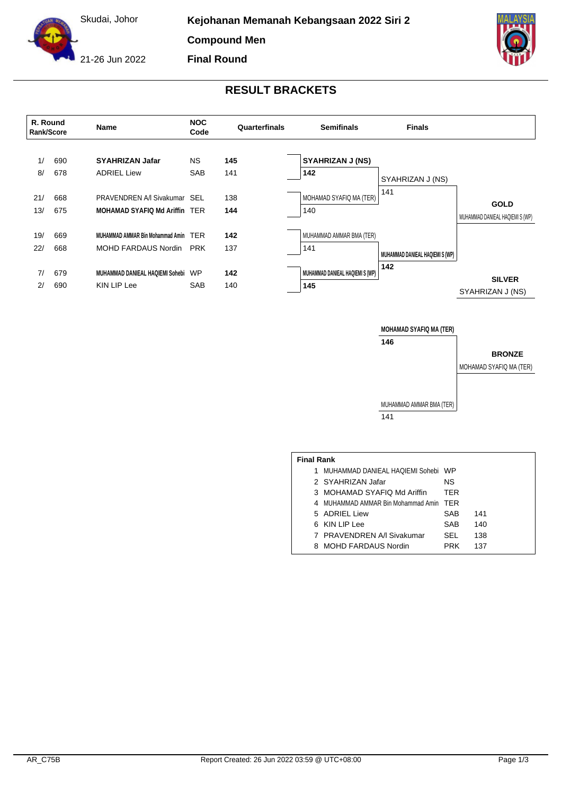

**Compound Men Final Round**



21-26 Jun 2022

## **RESULT BRACKETS**



**MOHAMAD SYAFIQ MA (TER) 146**

**BRONZE**

MOHAMAD SYAFIQ MA (TER)

MUHAMMAD AMMAR BMA (TER) 141

| <b>Final Rank</b> |                                        |            |     |  |  |  |  |  |  |
|-------------------|----------------------------------------|------------|-----|--|--|--|--|--|--|
| 1.                | MUHAMMAD DANIEAL HAQIEMI Sohebi WP     |            |     |  |  |  |  |  |  |
|                   | 2 SYAHRIZAN Jafar                      | ΝS         |     |  |  |  |  |  |  |
|                   | 3 MOHAMAD SYAFIQ Md Ariffin            | <b>TER</b> |     |  |  |  |  |  |  |
|                   | 4 MUHAMMAD AMMAR Bin Mohammad Amin TER |            |     |  |  |  |  |  |  |
|                   | 5 ADRIEL Liew                          | SAB        | 141 |  |  |  |  |  |  |
|                   | 6 KIN LIP Lee                          | SAB        | 140 |  |  |  |  |  |  |
|                   | 7 PRAVENDREN A/I Sivakumar             | SEL        | 138 |  |  |  |  |  |  |
|                   | 8 MOHD FARDAUS Nordin                  | <b>PRK</b> | 137 |  |  |  |  |  |  |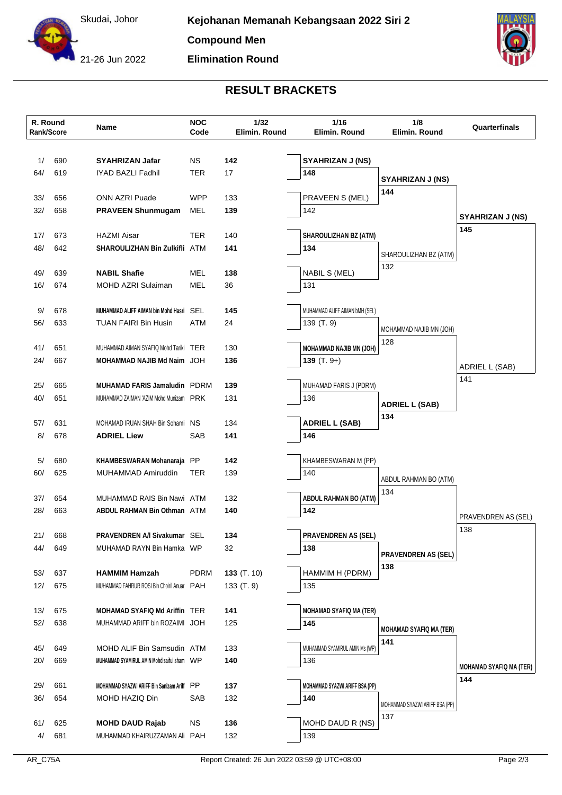Skudai, Johor

21-26 Jun 2022

## **RESULT BRACKETS**

**Elimination Round**